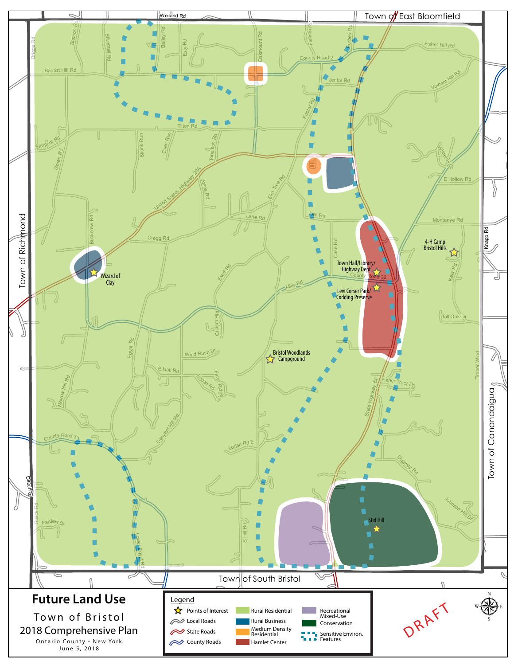